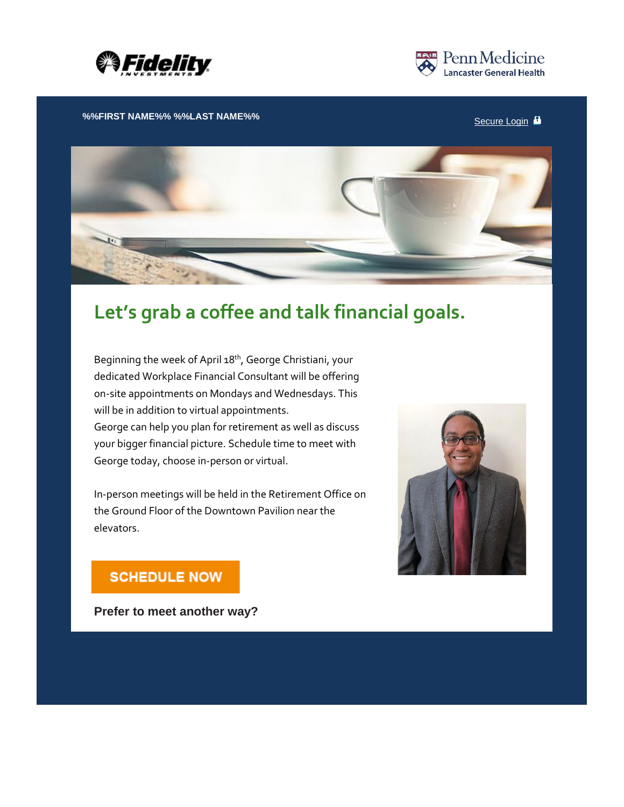



**%%FIRST NAME%% %%LAST NAME%%** [Secure](https://netbenefits.fidelity.com/) Login  $\blacksquare$ 



## **Let's grab a coffee and talk financial goals.**

Beginning the week of April 18<sup>th</sup>, George Christiani, your dedicated Workplace Financial Consultant will be offering on-site appointments on Mondays and Wednesdays. This will be in addition to virtual appointments. George can help you plan for retirement as well as discuss your bigger financial picture. Schedule time to meet with George today, choose in-person or virtual.

In-person meetings will be held in the Retirement Office on the Ground Floor of the Downtown Pavilion near the elevators.



## **SCHEDULE NOW**

**Prefer to meet another way?**